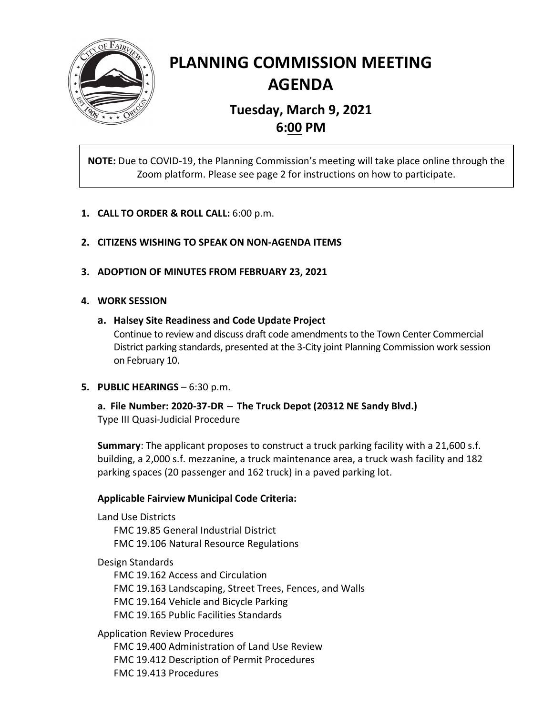

# **PLANNING COMMISSION MEETING AGENDA**

## **Tuesday, March 9, 2021 6:00 PM**

**NOTE:** Due to COVID-19, the Planning Commission's meeting will take place online through the Zoom platform. Please see page 2 for instructions on how to participate.

- **1. CALL TO ORDER & ROLL CALL:** 6:00 p.m.
- **2. CITIZENS WISHING TO SPEAK ON NON-AGENDA ITEMS**
- **3. ADOPTION OF MINUTES FROM FEBRUARY 23, 2021**

### **4. WORK SESSION**

**a. Halsey Site Readiness and Code Update Project**

Continue to review and discuss draft code amendments to the Town Center Commercial District parking standards, presented at the 3-City joint Planning Commission work session on February 10.

**5. PUBLIC HEARINGS** – 6:30 p.m.

**a. File Number: 2020-37-DR** <sup>−</sup> **The Truck Depot (20312 NE Sandy Blvd.)** Type III Quasi-Judicial Procedure

**Summary**: The applicant proposes to construct a truck parking facility with a 21,600 s.f. building, a 2,000 s.f. mezzanine, a truck maintenance area, a truck wash facility and 182 parking spaces (20 passenger and 162 truck) in a paved parking lot.

### **Applicable Fairview Municipal Code Criteria:**

Land Use Districts FMC 19.85 General Industrial District FMC 19.106 Natural Resource Regulations

Design Standards

FMC 19.162 Access and Circulation FMC 19.163 Landscaping, Street Trees, Fences, and Walls FMC 19.164 Vehicle and Bicycle Parking FMC 19.165 Public Facilities Standards

Application Review Procedures

FMC 19.400 Administration of Land Use Review FMC 19.412 Description of Permit Procedures FMC 19.413 Procedures